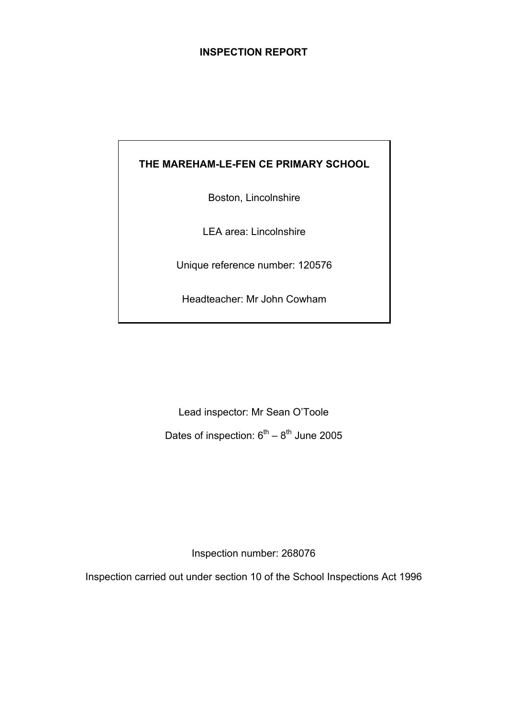## **INSPECTION REPORT**

## **THE MAREHAM-LE-FEN CE PRIMARY SCHOOL**

Boston, Lincolnshire

LEA area: Lincolnshire

Unique reference number: 120576

Headteacher: Mr John Cowham

Lead inspector: Mr Sean O'Toole Dates of inspection:  $6^{th} - 8^{th}$  June 2005

Inspection number: 268076

Inspection carried out under section 10 of the School Inspections Act 1996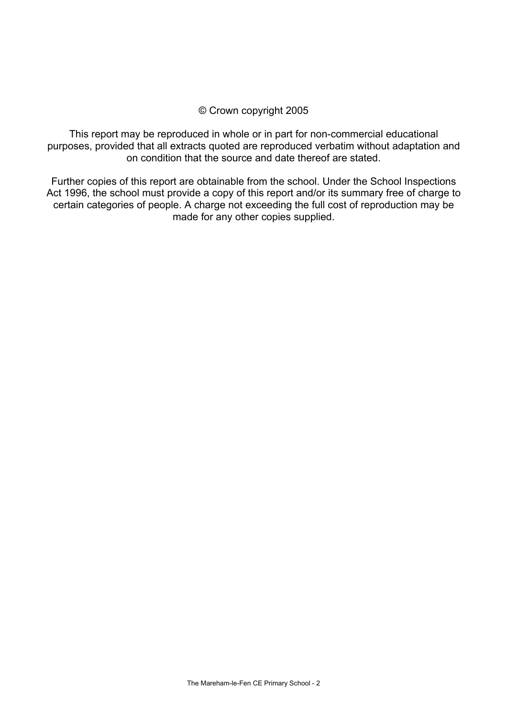## © Crown copyright 2005

This report may be reproduced in whole or in part for non-commercial educational purposes, provided that all extracts quoted are reproduced verbatim without adaptation and on condition that the source and date thereof are stated.

Further copies of this report are obtainable from the school. Under the School Inspections Act 1996, the school must provide a copy of this report and/or its summary free of charge to certain categories of people. A charge not exceeding the full cost of reproduction may be made for any other copies supplied.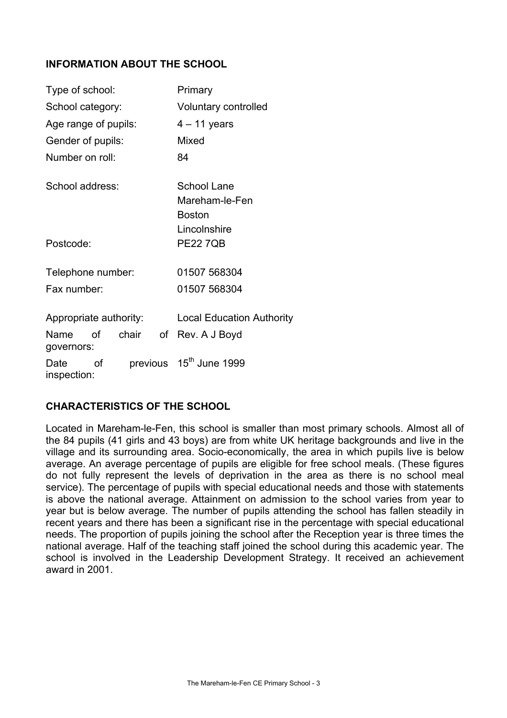## **INFORMATION ABOUT THE SCHOOL**

| Type of school:        |    |              |                             | Primary                                                        |  |
|------------------------|----|--------------|-----------------------------|----------------------------------------------------------------|--|
| School category:       |    |              | <b>Voluntary controlled</b> |                                                                |  |
| Age range of pupils:   |    |              | $4 - 11$ years              |                                                                |  |
| Gender of pupils:      |    |              |                             | Mixed                                                          |  |
| Number on roll:        |    |              |                             | 84                                                             |  |
| School address:        |    |              |                             | School Lane<br>Mareham-le-Fen<br><b>Boston</b><br>Lincolnshire |  |
| Postcode:              |    |              |                             | <b>PE22 7QB</b>                                                |  |
| Telephone number:      |    |              |                             | 01507 568304                                                   |  |
| Fax number:            |    | 01507 568304 |                             |                                                                |  |
| Appropriate authority: |    |              |                             | <b>Local Education Authority</b>                               |  |
| Name<br>governors:     | ∩f | chair        | of                          | Rev. A J Boyd                                                  |  |
| Date<br>inspection:    | οf |              |                             | previous 15 <sup>th</sup> June 1999                            |  |

## **CHARACTERISTICS OF THE SCHOOL**

Located in Mareham-le-Fen, this school is smaller than most primary schools. Almost all of the 84 pupils (41 girls and 43 boys) are from white UK heritage backgrounds and live in the village and its surrounding area. Socio-economically, the area in which pupils live is below average. An average percentage of pupils are eligible for free school meals. (These figures do not fully represent the levels of deprivation in the area as there is no school meal service). The percentage of pupils with special educational needs and those with statements is above the national average. Attainment on admission to the school varies from year to year but is below average. The number of pupils attending the school has fallen steadily in recent years and there has been a significant rise in the percentage with special educational needs. The proportion of pupils joining the school after the Reception year is three times the national average. Half of the teaching staff joined the school during this academic year. The school is involved in the Leadership Development Strategy. It received an achievement award in 2001.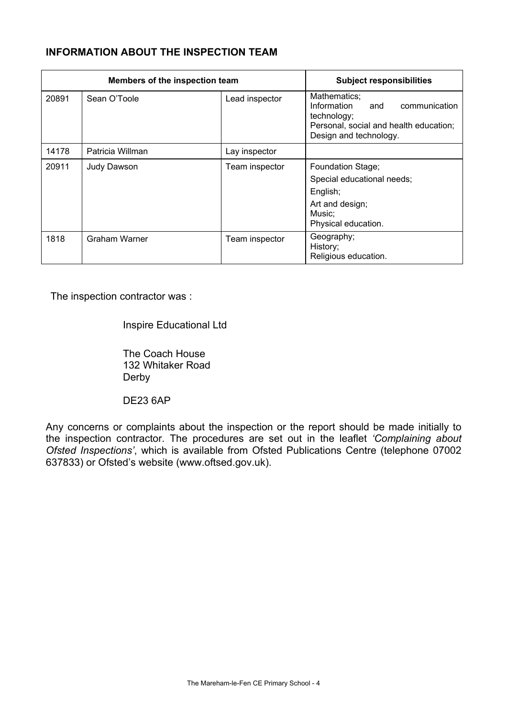# **INFORMATION ABOUT THE INSPECTION TEAM**

| Members of the inspection team |                      |                | <b>Subject responsibilities</b>                                                                                                        |
|--------------------------------|----------------------|----------------|----------------------------------------------------------------------------------------------------------------------------------------|
| 20891                          | Sean O'Toole         | Lead inspector | Mathematics;<br>Information<br>communication<br>and<br>technology;<br>Personal, social and health education;<br>Design and technology. |
| 14178                          | Patricia Willman     | Lay inspector  |                                                                                                                                        |
| 20911                          | Judy Dawson          | Team inspector | <b>Foundation Stage;</b><br>Special educational needs;<br>English;<br>Art and design;<br>Music;<br>Physical education.                 |
| 1818                           | <b>Graham Warner</b> | Team inspector | Geography;<br>History;<br>Religious education.                                                                                         |

The inspection contractor was :

Inspire Educational Ltd

 The Coach House 132 Whitaker Road Derby

DE23 6AP

Any concerns or complaints about the inspection or the report should be made initially to the inspection contractor. The procedures are set out in the leaflet *'Complaining about Ofsted Inspections'*, which is available from Ofsted Publications Centre (telephone 07002 637833) or Ofsted's website (www.oftsed.gov.uk).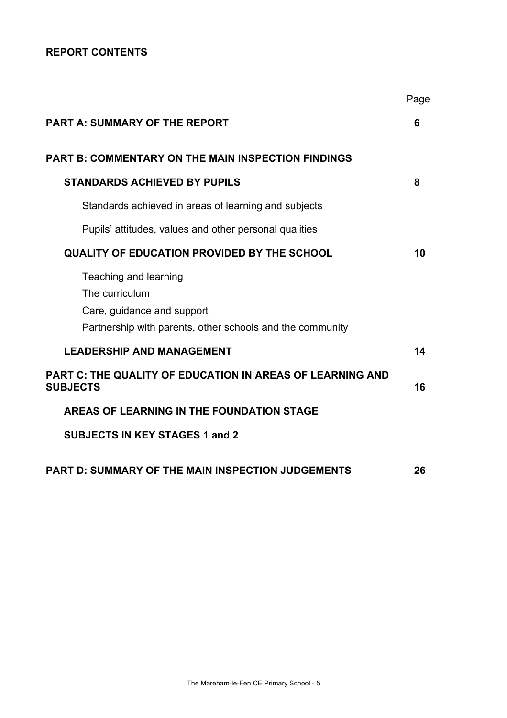# **REPORT CONTENTS**

|                                                                                                                                    | Page |
|------------------------------------------------------------------------------------------------------------------------------------|------|
| <b>PART A: SUMMARY OF THE REPORT</b>                                                                                               | 6    |
| <b>PART B: COMMENTARY ON THE MAIN INSPECTION FINDINGS</b>                                                                          |      |
| <b>STANDARDS ACHIEVED BY PUPILS</b>                                                                                                | 8    |
| Standards achieved in areas of learning and subjects                                                                               |      |
| Pupils' attitudes, values and other personal qualities                                                                             |      |
| <b>QUALITY OF EDUCATION PROVIDED BY THE SCHOOL</b>                                                                                 | 10   |
| Teaching and learning<br>The curriculum<br>Care, guidance and support<br>Partnership with parents, other schools and the community |      |
| <b>LEADERSHIP AND MANAGEMENT</b>                                                                                                   | 14   |
| <b>PART C: THE QUALITY OF EDUCATION IN AREAS OF LEARNING AND</b><br><b>SUBJECTS</b>                                                | 16   |
| AREAS OF LEARNING IN THE FOUNDATION STAGE                                                                                          |      |
| <b>SUBJECTS IN KEY STAGES 1 and 2</b>                                                                                              |      |
| <b>PART D: SUMMARY OF THE MAIN INSPECTION JUDGEMENTS</b>                                                                           | 26   |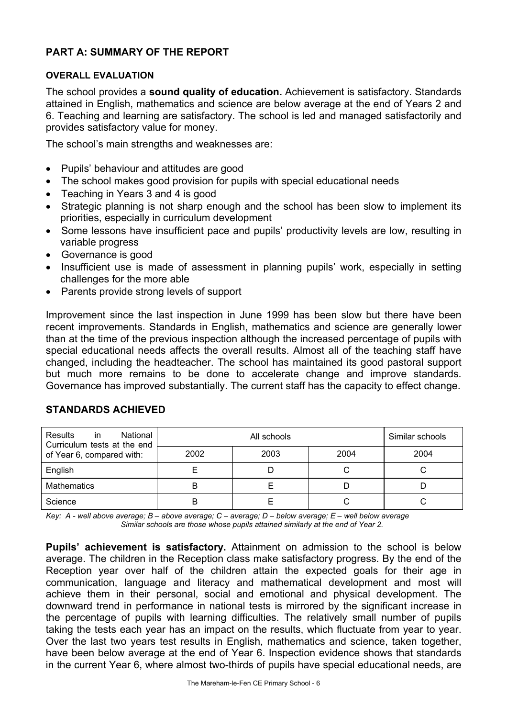## **PART A: SUMMARY OF THE REPORT**

#### **OVERALL EVALUATION**

The school provides a **sound quality of education.** Achievement is satisfactory. Standards attained in English, mathematics and science are below average at the end of Years 2 and 6. Teaching and learning are satisfactory. The school is led and managed satisfactorily and provides satisfactory value for money.

The school's main strengths and weaknesses are:

- Pupils' behaviour and attitudes are good
- The school makes good provision for pupils with special educational needs
- Teaching in Years 3 and 4 is good
- Strategic planning is not sharp enough and the school has been slow to implement its priorities, especially in curriculum development
- Some lessons have insufficient pace and pupils' productivity levels are low, resulting in variable progress
- Governance is good
- Insufficient use is made of assessment in planning pupils' work, especially in setting challenges for the more able
- Parents provide strong levels of support

Improvement since the last inspection in June 1999 has been slow but there have been recent improvements. Standards in English, mathematics and science are generally lower than at the time of the previous inspection although the increased percentage of pupils with special educational needs affects the overall results. Almost all of the teaching staff have changed, including the headteacher. The school has maintained its good pastoral support but much more remains to be done to accelerate change and improve standards. Governance has improved substantially. The current staff has the capacity to effect change.

| National<br><b>Results</b><br><i>in</i><br>Curriculum tests at the end |      | Similar schools |      |      |
|------------------------------------------------------------------------|------|-----------------|------|------|
| of Year 6, compared with:                                              | 2002 | 2003            | 2004 | 2004 |
| English                                                                |      |                 |      |      |
| <b>Mathematics</b>                                                     |      |                 |      |      |
| Science                                                                |      |                 |      |      |

## **STANDARDS ACHIEVED**

*Key: A - well above average; B – above average; C – average; D – below average; E – well below average Similar schools are those whose pupils attained similarly at the end of Year 2.* 

**Pupils' achievement is satisfactory.** Attainment on admission to the school is below average. The children in the Reception class make satisfactory progress. By the end of the Reception year over half of the children attain the expected goals for their age in communication, language and literacy and mathematical development and most will achieve them in their personal, social and emotional and physical development. The downward trend in performance in national tests is mirrored by the significant increase in the percentage of pupils with learning difficulties. The relatively small number of pupils taking the tests each year has an impact on the results, which fluctuate from year to year. Over the last two years test results in English, mathematics and science, taken together, have been below average at the end of Year 6. Inspection evidence shows that standards in the current Year 6, where almost two-thirds of pupils have special educational needs, are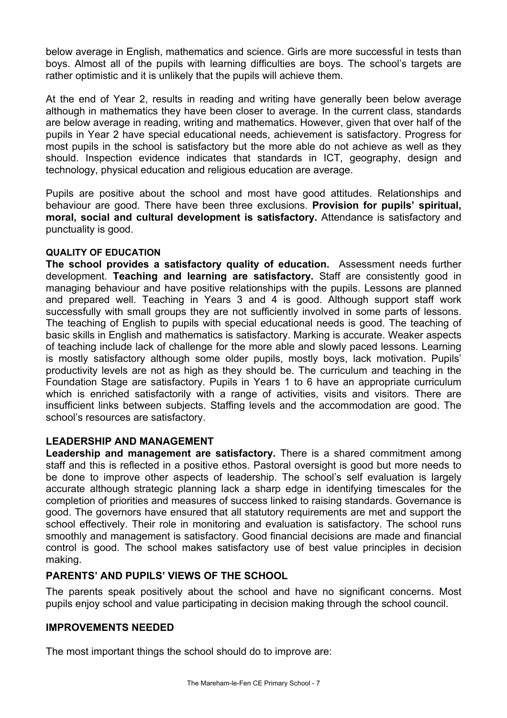below average in English, mathematics and science. Girls are more successful in tests than boys. Almost all of the pupils with learning difficulties are boys. The school's targets are rather optimistic and it is unlikely that the pupils will achieve them.

At the end of Year 2, results in reading and writing have generally been below average although in mathematics they have been closer to average. In the current class, standards are below average in reading, writing and mathematics. However, given that over half of the pupils in Year 2 have special educational needs, achievement is satisfactory. Progress for most pupils in the school is satisfactory but the more able do not achieve as well as they should. Inspection evidence indicates that standards in ICT, geography, design and technology, physical education and religious education are average.

Pupils are positive about the school and most have good attitudes. Relationships and behaviour are good. There have been three exclusions. **Provision for pupils' spiritual, moral, social and cultural development is satisfactory.** Attendance is satisfactory and punctuality is good.

## **QUALITY OF EDUCATION**

**The school provides a satisfactory quality of education.** Assessment needs further development. **Teaching and learning are satisfactory.** Staff are consistently good in managing behaviour and have positive relationships with the pupils. Lessons are planned and prepared well. Teaching in Years 3 and 4 is good. Although support staff work successfully with small groups they are not sufficiently involved in some parts of lessons. The teaching of English to pupils with special educational needs is good. The teaching of basic skills in English and mathematics is satisfactory. Marking is accurate. Weaker aspects of teaching include lack of challenge for the more able and slowly paced lessons. Learning is mostly satisfactory although some older pupils, mostly boys, lack motivation. Pupils' productivity levels are not as high as they should be. The curriculum and teaching in the Foundation Stage are satisfactory. Pupils in Years 1 to 6 have an appropriate curriculum which is enriched satisfactorily with a range of activities, visits and visitors. There are insufficient links between subjects. Staffing levels and the accommodation are good. The school's resources are satisfactory.

## **LEADERSHIP AND MANAGEMENT**

**Leadership and management are satisfactory.** There is a shared commitment among staff and this is reflected in a positive ethos. Pastoral oversight is good but more needs to be done to improve other aspects of leadership. The school's self evaluation is largely accurate although strategic planning lack a sharp edge in identifying timescales for the completion of priorities and measures of success linked to raising standards. Governance is good. The governors have ensured that all statutory requirements are met and support the school effectively. Their role in monitoring and evaluation is satisfactory. The school runs smoothly and management is satisfactory. Good financial decisions are made and financial control is good. The school makes satisfactory use of best value principles in decision making.

## **PARENTS' AND PUPILS' VIEWS OF THE SCHOOL**

The parents speak positively about the school and have no significant concerns. Most pupils enjoy school and value participating in decision making through the school council.

## **IMPROVEMENTS NEEDED**

The most important things the school should do to improve are: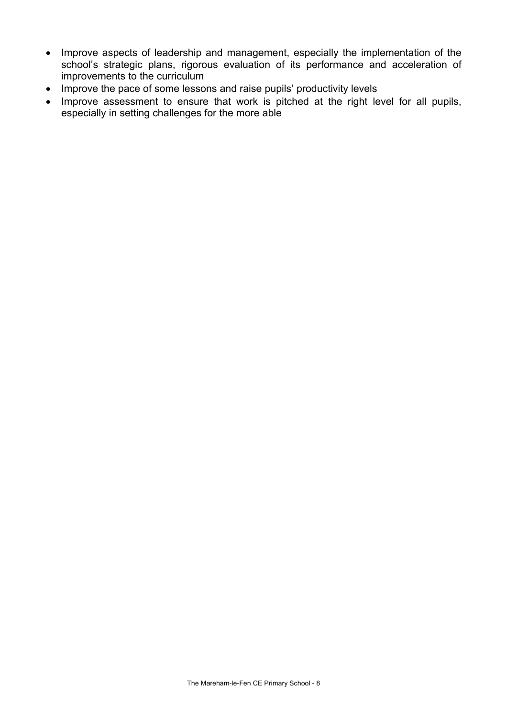- Improve aspects of leadership and management, especially the implementation of the school's strategic plans, rigorous evaluation of its performance and acceleration of improvements to the curriculum
- Improve the pace of some lessons and raise pupils' productivity levels
- Improve assessment to ensure that work is pitched at the right level for all pupils, especially in setting challenges for the more able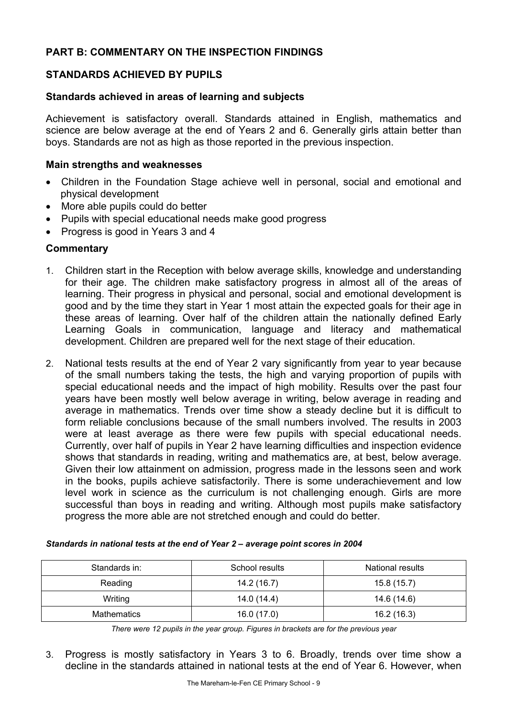## **PART B: COMMENTARY ON THE INSPECTION FINDINGS**

## **STANDARDS ACHIEVED BY PUPILS**

### **Standards achieved in areas of learning and subjects**

Achievement is satisfactory overall. Standards attained in English, mathematics and science are below average at the end of Years 2 and 6. Generally girls attain better than boys. Standards are not as high as those reported in the previous inspection.

### **Main strengths and weaknesses**

- Children in the Foundation Stage achieve well in personal, social and emotional and physical development
- More able pupils could do better
- Pupils with special educational needs make good progress
- Progress is good in Years 3 and 4

## **Commentary**

- 1. Children start in the Reception with below average skills, knowledge and understanding for their age. The children make satisfactory progress in almost all of the areas of learning. Their progress in physical and personal, social and emotional development is good and by the time they start in Year 1 most attain the expected goals for their age in these areas of learning. Over half of the children attain the nationally defined Early Learning Goals in communication, language and literacy and mathematical development. Children are prepared well for the next stage of their education.
- 2. National tests results at the end of Year 2 vary significantly from year to year because of the small numbers taking the tests, the high and varying proportion of pupils with special educational needs and the impact of high mobility. Results over the past four years have been mostly well below average in writing, below average in reading and average in mathematics. Trends over time show a steady decline but it is difficult to form reliable conclusions because of the small numbers involved. The results in 2003 were at least average as there were few pupils with special educational needs. Currently, over half of pupils in Year 2 have learning difficulties and inspection evidence shows that standards in reading, writing and mathematics are, at best, below average. Given their low attainment on admission, progress made in the lessons seen and work in the books, pupils achieve satisfactorily. There is some underachievement and low level work in science as the curriculum is not challenging enough. Girls are more successful than boys in reading and writing. Although most pupils make satisfactory progress the more able are not stretched enough and could do better.

| Standards in: | School results | <b>National results</b> |
|---------------|----------------|-------------------------|
| Reading       | 14.2 (16.7)    | 15.8 (15.7)             |
| Writing       | 14.0 (14.4)    | 14.6 (14.6)             |
| Mathematics   | 16.0(17.0)     | 16.2(16.3)              |

#### *Standards in national tests at the end of Year 2 – average point scores in 2004*

*There were 12 pupils in the year group. Figures in brackets are for the previous year* 

3. Progress is mostly satisfactory in Years 3 to 6. Broadly, trends over time show a decline in the standards attained in national tests at the end of Year 6. However, when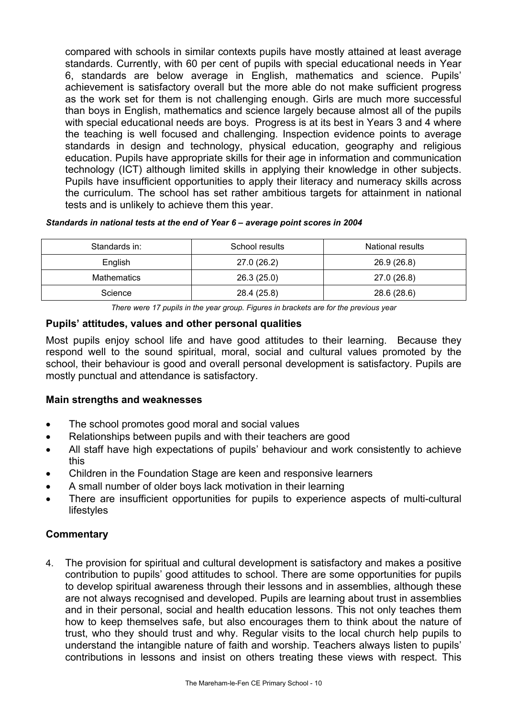compared with schools in similar contexts pupils have mostly attained at least average standards. Currently, with 60 per cent of pupils with special educational needs in Year 6, standards are below average in English, mathematics and science. Pupils' achievement is satisfactory overall but the more able do not make sufficient progress as the work set for them is not challenging enough. Girls are much more successful than boys in English, mathematics and science largely because almost all of the pupils with special educational needs are boys. Progress is at its best in Years 3 and 4 where the teaching is well focused and challenging. Inspection evidence points to average standards in design and technology, physical education, geography and religious education. Pupils have appropriate skills for their age in information and communication technology (ICT) although limited skills in applying their knowledge in other subjects. Pupils have insufficient opportunities to apply their literacy and numeracy skills across the curriculum. The school has set rather ambitious targets for attainment in national tests and is unlikely to achieve them this year.

#### *Standards in national tests at the end of Year 6 – average point scores in 2004*

| Standards in: | School results | National results |
|---------------|----------------|------------------|
| English       | 27.0 (26.2)    | 26.9 (26.8)      |
| Mathematics   | 26.3(25.0)     | 27.0 (26.8)      |
| Science       | 28.4 (25.8)    | 28.6 (28.6)      |

*There were 17 pupils in the year group. Figures in brackets are for the previous year* 

## **Pupils' attitudes, values and other personal qualities**

Most pupils enjoy school life and have good attitudes to their learning. Because they respond well to the sound spiritual, moral, social and cultural values promoted by the school, their behaviour is good and overall personal development is satisfactory. Pupils are mostly punctual and attendance is satisfactory.

## **Main strengths and weaknesses**

- The school promotes good moral and social values
- Relationships between pupils and with their teachers are good
- All staff have high expectations of pupils' behaviour and work consistently to achieve this
- Children in the Foundation Stage are keen and responsive learners
- A small number of older boys lack motivation in their learning
- There are insufficient opportunities for pupils to experience aspects of multi-cultural lifestyles

## **Commentary**

4. The provision for spiritual and cultural development is satisfactory and makes a positive contribution to pupils' good attitudes to school. There are some opportunities for pupils to develop spiritual awareness through their lessons and in assemblies, although these are not always recognised and developed. Pupils are learning about trust in assemblies and in their personal, social and health education lessons. This not only teaches them how to keep themselves safe, but also encourages them to think about the nature of trust, who they should trust and why. Regular visits to the local church help pupils to understand the intangible nature of faith and worship. Teachers always listen to pupils' contributions in lessons and insist on others treating these views with respect. This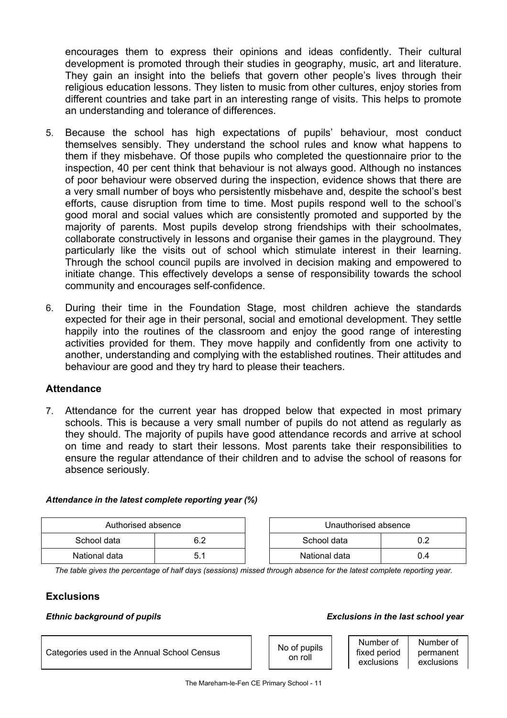encourages them to express their opinions and ideas confidently. Their cultural development is promoted through their studies in geography, music, art and literature. They gain an insight into the beliefs that govern other people's lives through their religious education lessons. They listen to music from other cultures, enjoy stories from different countries and take part in an interesting range of visits. This helps to promote an understanding and tolerance of differences.

- 5. Because the school has high expectations of pupils' behaviour, most conduct themselves sensibly. They understand the school rules and know what happens to them if they misbehave. Of those pupils who completed the questionnaire prior to the inspection, 40 per cent think that behaviour is not always good. Although no instances of poor behaviour were observed during the inspection, evidence shows that there are a very small number of boys who persistently misbehave and, despite the school's best efforts, cause disruption from time to time. Most pupils respond well to the school's good moral and social values which are consistently promoted and supported by the majority of parents. Most pupils develop strong friendships with their schoolmates, collaborate constructively in lessons and organise their games in the playground. They particularly like the visits out of school which stimulate interest in their learning. Through the school council pupils are involved in decision making and empowered to initiate change. This effectively develops a sense of responsibility towards the school community and encourages self-confidence.
- 6. During their time in the Foundation Stage, most children achieve the standards expected for their age in their personal, social and emotional development. They settle happily into the routines of the classroom and enjoy the good range of interesting activities provided for them. They move happily and confidently from one activity to another, understanding and complying with the established routines. Their attitudes and behaviour are good and they try hard to please their teachers.

## **Attendance**

7. Attendance for the current year has dropped below that expected in most primary schools. This is because a very small number of pupils do not attend as regularly as they should. The majority of pupils have good attendance records and arrive at school on time and ready to start their lessons. Most parents take their responsibilities to ensure the regular attendance of their children and to advise the school of reasons for absence seriously.

#### *Attendance in the latest complete reporting year (%)*

| Authorised absence |  |  | Unauthorised absence |     |
|--------------------|--|--|----------------------|-----|
| School data        |  |  | School data          |     |
| National data      |  |  | National data        | U.4 |

*The table gives the percentage of half days (sessions) missed through absence for the latest complete reporting year.*

## **Exclusions**

#### *Ethnic background of pupils*

| <b>Exclusions in the last school year</b> |  |  |  |  |  |
|-------------------------------------------|--|--|--|--|--|
|-------------------------------------------|--|--|--|--|--|

| pupils           | Number of    | Number of  |
|------------------|--------------|------------|
| llo <sup>.</sup> | fixed period | permanent  |
|                  | exclusions   | exclusions |

on r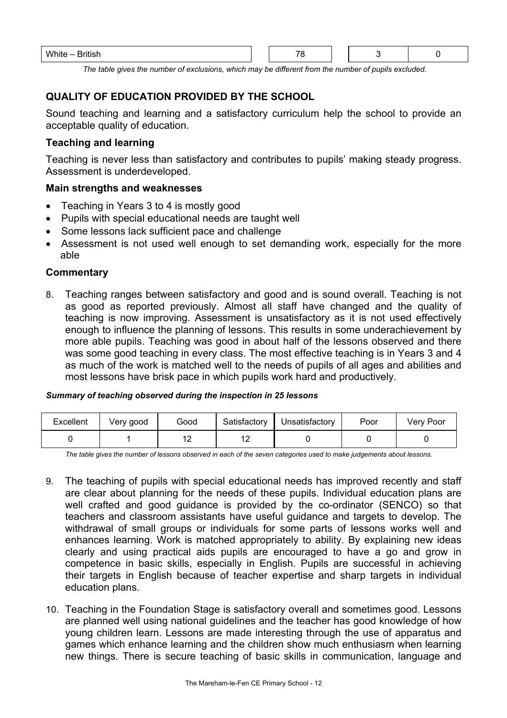| .<br>Wh<br>$-$<br>ייטייש<br>.<br>$-$ |  |  |  |  |  |  |  |
|--------------------------------------|--|--|--|--|--|--|--|
|--------------------------------------|--|--|--|--|--|--|--|

*The table gives the number of exclusions, which may be different from the number of pupils excluded.*

# **QUALITY OF EDUCATION PROVIDED BY THE SCHOOL**

Sound teaching and learning and a satisfactory curriculum help the school to provide an acceptable quality of education.

## **Teaching and learning**

Teaching is never less than satisfactory and contributes to pupils' making steady progress. Assessment is underdeveloped.

## **Main strengths and weaknesses**

- Teaching in Years 3 to 4 is mostly good
- Pupils with special educational needs are taught well
- Some lessons lack sufficient pace and challenge
- Assessment is not used well enough to set demanding work, especially for the more able

## **Commentary**

8. Teaching ranges between satisfactory and good and is sound overall. Teaching is not as good as reported previously. Almost all staff have changed and the quality of teaching is now improving. Assessment is unsatisfactory as it is not used effectively enough to influence the planning of lessons. This results in some underachievement by more able pupils. Teaching was good in about half of the lessons observed and there was some good teaching in every class. The most effective teaching is in Years 3 and 4 as much of the work is matched well to the needs of pupils of all ages and abilities and most lessons have brisk pace in which pupils work hard and productively.

#### *Summary of teaching observed during the inspection in 25 lessons*

| Excellent | Very good | Good | Satisfactory   | Unsatisfactory | Poor | Very Poor |
|-----------|-----------|------|----------------|----------------|------|-----------|
|           |           | ▵    | $\overline{ }$ |                |      |           |

*The table gives the number of lessons observed in each of the seven categories used to make judgements about lessons.* 

- 9. The teaching of pupils with special educational needs has improved recently and staff are clear about planning for the needs of these pupils. Individual education plans are well crafted and good guidance is provided by the co-ordinator (SENCO) so that teachers and classroom assistants have useful guidance and targets to develop. The withdrawal of small groups or individuals for some parts of lessons works well and enhances learning. Work is matched appropriately to ability. By explaining new ideas clearly and using practical aids pupils are encouraged to have a go and grow in competence in basic skills, especially in English. Pupils are successful in achieving their targets in English because of teacher expertise and sharp targets in individual education plans.
- 10. Teaching in the Foundation Stage is satisfactory overall and sometimes good. Lessons are planned well using national guidelines and the teacher has good knowledge of how young children learn. Lessons are made interesting through the use of apparatus and games which enhance learning and the children show much enthusiasm when learning new things. There is secure teaching of basic skills in communication, language and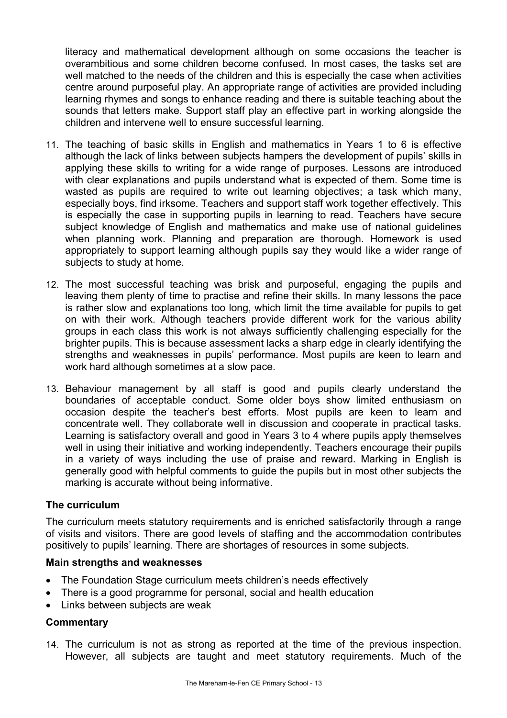literacy and mathematical development although on some occasions the teacher is overambitious and some children become confused. In most cases, the tasks set are well matched to the needs of the children and this is especially the case when activities centre around purposeful play. An appropriate range of activities are provided including learning rhymes and songs to enhance reading and there is suitable teaching about the sounds that letters make. Support staff play an effective part in working alongside the children and intervene well to ensure successful learning.

- 11. The teaching of basic skills in English and mathematics in Years 1 to 6 is effective although the lack of links between subjects hampers the development of pupils' skills in applying these skills to writing for a wide range of purposes. Lessons are introduced with clear explanations and pupils understand what is expected of them. Some time is wasted as pupils are required to write out learning objectives; a task which many, especially boys, find irksome. Teachers and support staff work together effectively. This is especially the case in supporting pupils in learning to read. Teachers have secure subject knowledge of English and mathematics and make use of national guidelines when planning work. Planning and preparation are thorough. Homework is used appropriately to support learning although pupils say they would like a wider range of subjects to study at home.
- 12. The most successful teaching was brisk and purposeful, engaging the pupils and leaving them plenty of time to practise and refine their skills. In many lessons the pace is rather slow and explanations too long, which limit the time available for pupils to get on with their work. Although teachers provide different work for the various ability groups in each class this work is not always sufficiently challenging especially for the brighter pupils. This is because assessment lacks a sharp edge in clearly identifying the strengths and weaknesses in pupils' performance. Most pupils are keen to learn and work hard although sometimes at a slow pace.
- 13. Behaviour management by all staff is good and pupils clearly understand the boundaries of acceptable conduct. Some older boys show limited enthusiasm on occasion despite the teacher's best efforts. Most pupils are keen to learn and concentrate well. They collaborate well in discussion and cooperate in practical tasks. Learning is satisfactory overall and good in Years 3 to 4 where pupils apply themselves well in using their initiative and working independently. Teachers encourage their pupils in a variety of ways including the use of praise and reward. Marking in English is generally good with helpful comments to guide the pupils but in most other subjects the marking is accurate without being informative.

## **The curriculum**

The curriculum meets statutory requirements and is enriched satisfactorily through a range of visits and visitors. There are good levels of staffing and the accommodation contributes positively to pupils' learning. There are shortages of resources in some subjects.

#### **Main strengths and weaknesses**

- The Foundation Stage curriculum meets children's needs effectively
- There is a good programme for personal, social and health education
- Links between subjects are weak

## **Commentary**

14. The curriculum is not as strong as reported at the time of the previous inspection. However, all subjects are taught and meet statutory requirements. Much of the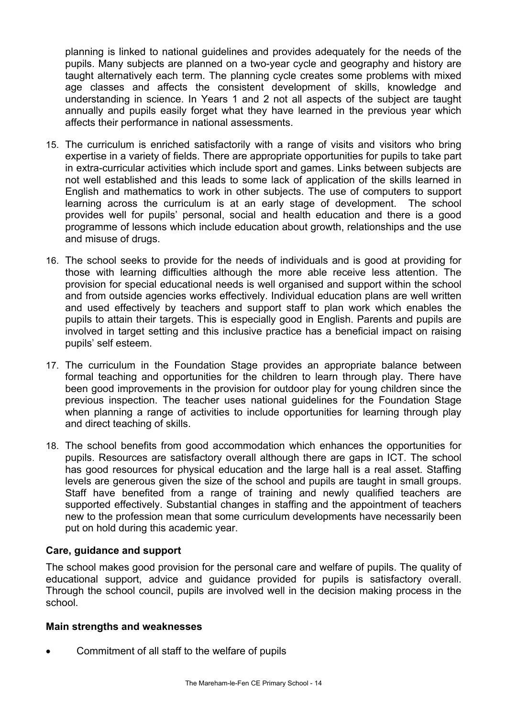planning is linked to national guidelines and provides adequately for the needs of the pupils. Many subjects are planned on a two-year cycle and geography and history are taught alternatively each term. The planning cycle creates some problems with mixed age classes and affects the consistent development of skills, knowledge and understanding in science. In Years 1 and 2 not all aspects of the subject are taught annually and pupils easily forget what they have learned in the previous year which affects their performance in national assessments.

- 15. The curriculum is enriched satisfactorily with a range of visits and visitors who bring expertise in a variety of fields. There are appropriate opportunities for pupils to take part in extra-curricular activities which include sport and games. Links between subjects are not well established and this leads to some lack of application of the skills learned in English and mathematics to work in other subjects. The use of computers to support learning across the curriculum is at an early stage of development. The school provides well for pupils' personal, social and health education and there is a good programme of lessons which include education about growth, relationships and the use and misuse of drugs.
- 16. The school seeks to provide for the needs of individuals and is good at providing for those with learning difficulties although the more able receive less attention. The provision for special educational needs is well organised and support within the school and from outside agencies works effectively. Individual education plans are well written and used effectively by teachers and support staff to plan work which enables the pupils to attain their targets. This is especially good in English. Parents and pupils are involved in target setting and this inclusive practice has a beneficial impact on raising pupils' self esteem.
- 17. The curriculum in the Foundation Stage provides an appropriate balance between formal teaching and opportunities for the children to learn through play. There have been good improvements in the provision for outdoor play for young children since the previous inspection. The teacher uses national guidelines for the Foundation Stage when planning a range of activities to include opportunities for learning through play and direct teaching of skills.
- 18. The school benefits from good accommodation which enhances the opportunities for pupils. Resources are satisfactory overall although there are gaps in ICT. The school has good resources for physical education and the large hall is a real asset. Staffing levels are generous given the size of the school and pupils are taught in small groups. Staff have benefited from a range of training and newly qualified teachers are supported effectively. Substantial changes in staffing and the appointment of teachers new to the profession mean that some curriculum developments have necessarily been put on hold during this academic year.

## **Care, guidance and support**

The school makes good provision for the personal care and welfare of pupils. The quality of educational support, advice and guidance provided for pupils is satisfactory overall. Through the school council, pupils are involved well in the decision making process in the school.

## **Main strengths and weaknesses**

• Commitment of all staff to the welfare of pupils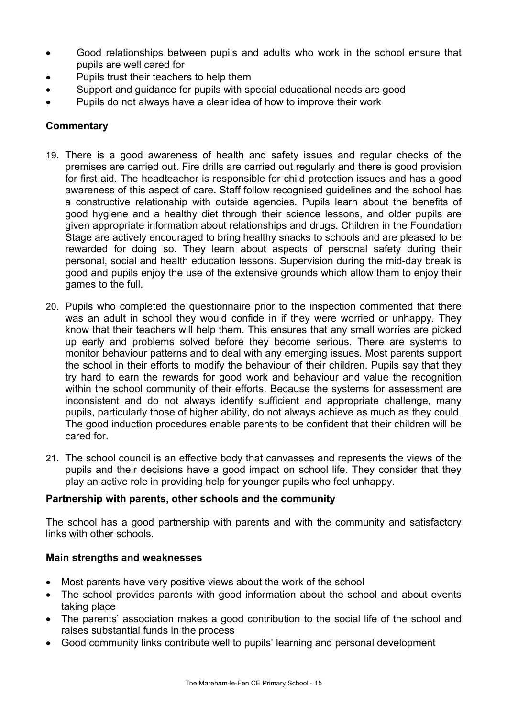- Good relationships between pupils and adults who work in the school ensure that pupils are well cared for
- Pupils trust their teachers to help them
- Support and guidance for pupils with special educational needs are good
- Pupils do not always have a clear idea of how to improve their work

- 19. There is a good awareness of health and safety issues and regular checks of the premises are carried out. Fire drills are carried out regularly and there is good provision for first aid. The headteacher is responsible for child protection issues and has a good awareness of this aspect of care. Staff follow recognised guidelines and the school has a constructive relationship with outside agencies. Pupils learn about the benefits of good hygiene and a healthy diet through their science lessons, and older pupils are given appropriate information about relationships and drugs. Children in the Foundation Stage are actively encouraged to bring healthy snacks to schools and are pleased to be rewarded for doing so. They learn about aspects of personal safety during their personal, social and health education lessons. Supervision during the mid-day break is good and pupils enjoy the use of the extensive grounds which allow them to enjoy their games to the full.
- 20. Pupils who completed the questionnaire prior to the inspection commented that there was an adult in school they would confide in if they were worried or unhappy. They know that their teachers will help them. This ensures that any small worries are picked up early and problems solved before they become serious. There are systems to monitor behaviour patterns and to deal with any emerging issues. Most parents support the school in their efforts to modify the behaviour of their children. Pupils say that they try hard to earn the rewards for good work and behaviour and value the recognition within the school community of their efforts. Because the systems for assessment are inconsistent and do not always identify sufficient and appropriate challenge, many pupils, particularly those of higher ability, do not always achieve as much as they could. The good induction procedures enable parents to be confident that their children will be cared for.
- 21. The school council is an effective body that canvasses and represents the views of the pupils and their decisions have a good impact on school life. They consider that they play an active role in providing help for younger pupils who feel unhappy.

## **Partnership with parents, other schools and the community**

The school has a good partnership with parents and with the community and satisfactory links with other schools.

## **Main strengths and weaknesses**

- Most parents have very positive views about the work of the school
- The school provides parents with good information about the school and about events taking place
- The parents' association makes a good contribution to the social life of the school and raises substantial funds in the process
- Good community links contribute well to pupils' learning and personal development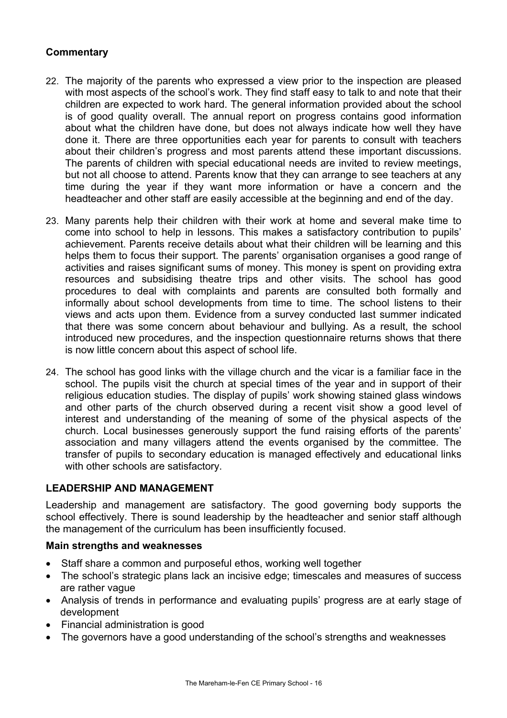- 22. The majority of the parents who expressed a view prior to the inspection are pleased with most aspects of the school's work. They find staff easy to talk to and note that their children are expected to work hard. The general information provided about the school is of good quality overall. The annual report on progress contains good information about what the children have done, but does not always indicate how well they have done it. There are three opportunities each year for parents to consult with teachers about their children's progress and most parents attend these important discussions. The parents of children with special educational needs are invited to review meetings, but not all choose to attend. Parents know that they can arrange to see teachers at any time during the year if they want more information or have a concern and the headteacher and other staff are easily accessible at the beginning and end of the day.
- 23. Many parents help their children with their work at home and several make time to come into school to help in lessons. This makes a satisfactory contribution to pupils' achievement. Parents receive details about what their children will be learning and this helps them to focus their support. The parents' organisation organises a good range of activities and raises significant sums of money. This money is spent on providing extra resources and subsidising theatre trips and other visits. The school has good procedures to deal with complaints and parents are consulted both formally and informally about school developments from time to time. The school listens to their views and acts upon them. Evidence from a survey conducted last summer indicated that there was some concern about behaviour and bullying. As a result, the school introduced new procedures, and the inspection questionnaire returns shows that there is now little concern about this aspect of school life.
- 24. The school has good links with the village church and the vicar is a familiar face in the school. The pupils visit the church at special times of the year and in support of their religious education studies. The display of pupils' work showing stained glass windows and other parts of the church observed during a recent visit show a good level of interest and understanding of the meaning of some of the physical aspects of the church. Local businesses generously support the fund raising efforts of the parents' association and many villagers attend the events organised by the committee. The transfer of pupils to secondary education is managed effectively and educational links with other schools are satisfactory.

## **LEADERSHIP AND MANAGEMENT**

Leadership and management are satisfactory. The good governing body supports the school effectively. There is sound leadership by the headteacher and senior staff although the management of the curriculum has been insufficiently focused.

#### **Main strengths and weaknesses**

- Staff share a common and purposeful ethos, working well together
- The school's strategic plans lack an incisive edge; timescales and measures of success are rather vague
- Analysis of trends in performance and evaluating pupils' progress are at early stage of development
- Financial administration is good
- The governors have a good understanding of the school's strengths and weaknesses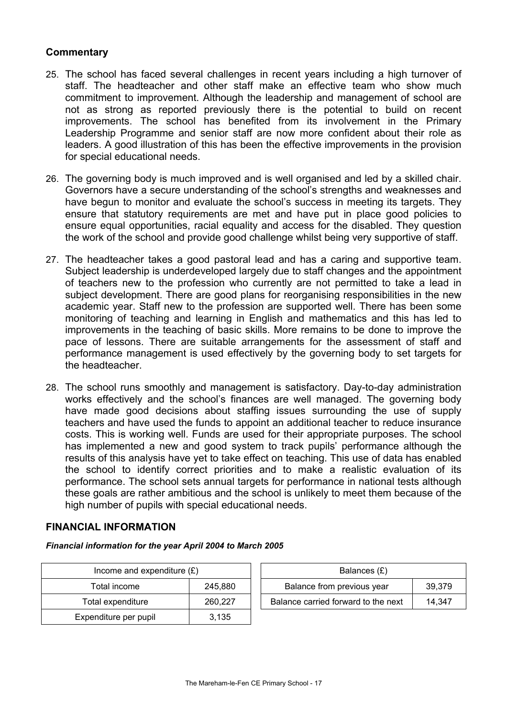- 25. The school has faced several challenges in recent years including a high turnover of staff. The headteacher and other staff make an effective team who show much commitment to improvement. Although the leadership and management of school are not as strong as reported previously there is the potential to build on recent improvements. The school has benefited from its involvement in the Primary Leadership Programme and senior staff are now more confident about their role as leaders. A good illustration of this has been the effective improvements in the provision for special educational needs.
- 26. The governing body is much improved and is well organised and led by a skilled chair. Governors have a secure understanding of the school's strengths and weaknesses and have begun to monitor and evaluate the school's success in meeting its targets. They ensure that statutory requirements are met and have put in place good policies to ensure equal opportunities, racial equality and access for the disabled. They question the work of the school and provide good challenge whilst being very supportive of staff.
- 27. The headteacher takes a good pastoral lead and has a caring and supportive team. Subject leadership is underdeveloped largely due to staff changes and the appointment of teachers new to the profession who currently are not permitted to take a lead in subject development. There are good plans for reorganising responsibilities in the new academic year. Staff new to the profession are supported well. There has been some monitoring of teaching and learning in English and mathematics and this has led to improvements in the teaching of basic skills. More remains to be done to improve the pace of lessons. There are suitable arrangements for the assessment of staff and performance management is used effectively by the governing body to set targets for the headteacher.
- 28. The school runs smoothly and management is satisfactory. Day-to-day administration works effectively and the school's finances are well managed. The governing body have made good decisions about staffing issues surrounding the use of supply teachers and have used the funds to appoint an additional teacher to reduce insurance costs. This is working well. Funds are used for their appropriate purposes. The school has implemented a new and good system to track pupils' performance although the results of this analysis have yet to take effect on teaching. This use of data has enabled the school to identify correct priorities and to make a realistic evaluation of its performance. The school sets annual targets for performance in national tests although these goals are rather ambitious and the school is unlikely to meet them because of the high number of pupils with special educational needs.

#### **FINANCIAL INFORMATION**

*Financial information for the year April 2004 to March 2005*

| Income and expenditure $(E)$ |         | Balances $(E)$                   |
|------------------------------|---------|----------------------------------|
| Total income                 | 245,880 | Balance from previous year       |
| Total expenditure            | 260.227 | Balance carried forward to the r |
| Expenditure per pupil        | 3.135   |                                  |

| Income and expenditure $(E)$ |         | Balances (£)                        |        |
|------------------------------|---------|-------------------------------------|--------|
| Total income                 | 245,880 | Balance from previous year          | 39.379 |
| Total expenditure            | 260.227 | Balance carried forward to the next | 14.347 |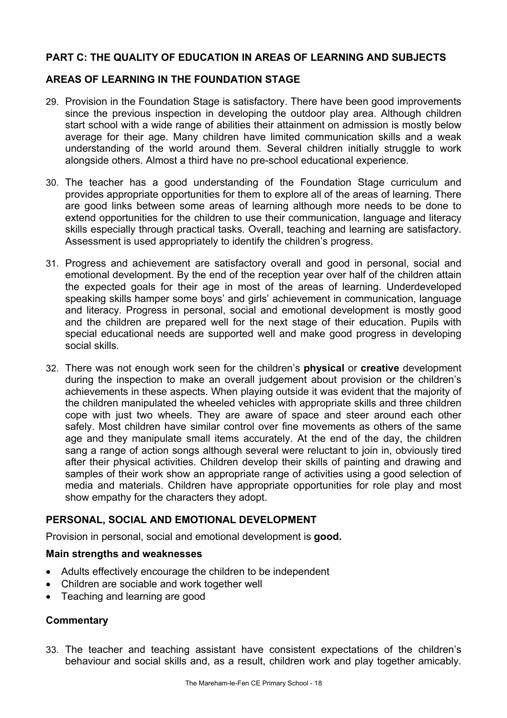## **PART C: THE QUALITY OF EDUCATION IN AREAS OF LEARNING AND SUBJECTS**

## **AREAS OF LEARNING IN THE FOUNDATION STAGE**

- 29. Provision in the Foundation Stage is satisfactory. There have been good improvements since the previous inspection in developing the outdoor play area. Although children start school with a wide range of abilities their attainment on admission is mostly below average for their age. Many children have limited communication skills and a weak understanding of the world around them. Several children initially struggle to work alongside others. Almost a third have no pre-school educational experience.
- 30. The teacher has a good understanding of the Foundation Stage curriculum and provides appropriate opportunities for them to explore all of the areas of learning. There are good links between some areas of learning although more needs to be done to extend opportunities for the children to use their communication, language and literacy skills especially through practical tasks. Overall, teaching and learning are satisfactory. Assessment is used appropriately to identify the children's progress.
- 31. Progress and achievement are satisfactory overall and good in personal, social and emotional development. By the end of the reception year over half of the children attain the expected goals for their age in most of the areas of learning. Underdeveloped speaking skills hamper some boys' and girls' achievement in communication, language and literacy. Progress in personal, social and emotional development is mostly good and the children are prepared well for the next stage of their education. Pupils with special educational needs are supported well and make good progress in developing social skills.
- 32. There was not enough work seen for the children's **physical** or **creative** development during the inspection to make an overall judgement about provision or the children's achievements in these aspects. When playing outside it was evident that the majority of the children manipulated the wheeled vehicles with appropriate skills and three children cope with just two wheels. They are aware of space and steer around each other safely. Most children have similar control over fine movements as others of the same age and they manipulate small items accurately. At the end of the day, the children sang a range of action songs although several were reluctant to join in, obviously tired after their physical activities. Children develop their skills of painting and drawing and samples of their work show an appropriate range of activities using a good selection of media and materials. Children have appropriate opportunities for role play and most show empathy for the characters they adopt.

## **PERSONAL, SOCIAL AND EMOTIONAL DEVELOPMENT**

Provision in personal, social and emotional development is **good.** 

#### **Main strengths and weaknesses**

- Adults effectively encourage the children to be independent
- Children are sociable and work together well
- Teaching and learning are good

## **Commentary**

33. The teacher and teaching assistant have consistent expectations of the children's behaviour and social skills and, as a result, children work and play together amicably.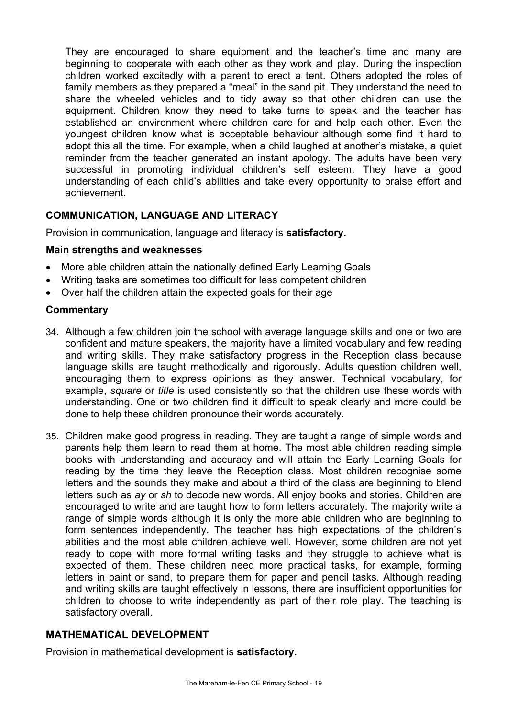They are encouraged to share equipment and the teacher's time and many are beginning to cooperate with each other as they work and play. During the inspection children worked excitedly with a parent to erect a tent. Others adopted the roles of family members as they prepared a "meal" in the sand pit. They understand the need to share the wheeled vehicles and to tidy away so that other children can use the equipment. Children know they need to take turns to speak and the teacher has established an environment where children care for and help each other. Even the youngest children know what is acceptable behaviour although some find it hard to adopt this all the time. For example, when a child laughed at another's mistake, a quiet reminder from the teacher generated an instant apology. The adults have been very successful in promoting individual children's self esteem. They have a good understanding of each child's abilities and take every opportunity to praise effort and achievement.

# **COMMUNICATION, LANGUAGE AND LITERACY**

Provision in communication, language and literacy is **satisfactory.** 

## **Main strengths and weaknesses**

- More able children attain the nationally defined Early Learning Goals
- Writing tasks are sometimes too difficult for less competent children
- Over half the children attain the expected goals for their age

## **Commentary**

- 34. Although a few children join the school with average language skills and one or two are confident and mature speakers, the majority have a limited vocabulary and few reading and writing skills. They make satisfactory progress in the Reception class because language skills are taught methodically and rigorously. Adults question children well, encouraging them to express opinions as they answer. Technical vocabulary, for example, *square* or *title* is used consistently so that the children use these words with understanding. One or two children find it difficult to speak clearly and more could be done to help these children pronounce their words accurately.
- 35. Children make good progress in reading. They are taught a range of simple words and parents help them learn to read them at home. The most able children reading simple books with understanding and accuracy and will attain the Early Learning Goals for reading by the time they leave the Reception class. Most children recognise some letters and the sounds they make and about a third of the class are beginning to blend letters such as *ay* or *sh* to decode new words. All enjoy books and stories. Children are encouraged to write and are taught how to form letters accurately. The majority write a range of simple words although it is only the more able children who are beginning to form sentences independently. The teacher has high expectations of the children's abilities and the most able children achieve well. However, some children are not yet ready to cope with more formal writing tasks and they struggle to achieve what is expected of them. These children need more practical tasks, for example, forming letters in paint or sand, to prepare them for paper and pencil tasks. Although reading and writing skills are taught effectively in lessons, there are insufficient opportunities for children to choose to write independently as part of their role play. The teaching is satisfactory overall.

## **MATHEMATICAL DEVELOPMENT**

Provision in mathematical development is **satisfactory.**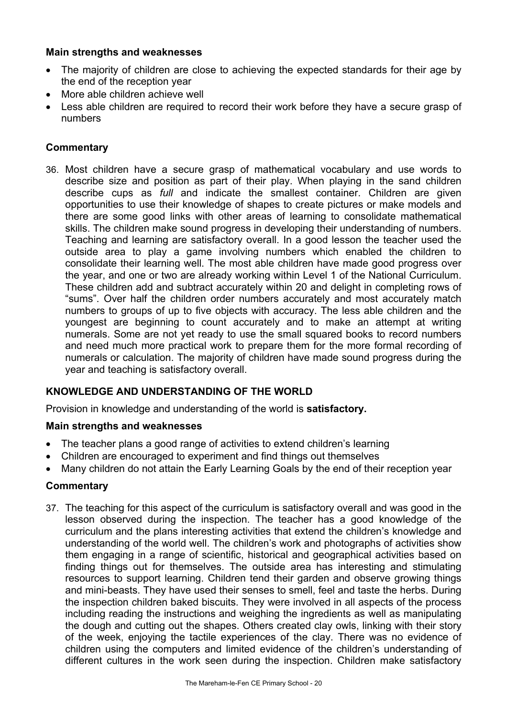## **Main strengths and weaknesses**

- The majority of children are close to achieving the expected standards for their age by the end of the reception year
- More able children achieve well
- Less able children are required to record their work before they have a secure grasp of numbers

## **Commentary**

36. Most children have a secure grasp of mathematical vocabulary and use words to describe size and position as part of their play. When playing in the sand children describe cups as *full* and indicate the smallest container. Children are given opportunities to use their knowledge of shapes to create pictures or make models and there are some good links with other areas of learning to consolidate mathematical skills. The children make sound progress in developing their understanding of numbers. Teaching and learning are satisfactory overall. In a good lesson the teacher used the outside area to play a game involving numbers which enabled the children to consolidate their learning well. The most able children have made good progress over the year, and one or two are already working within Level 1 of the National Curriculum. These children add and subtract accurately within 20 and delight in completing rows of "sums". Over half the children order numbers accurately and most accurately match numbers to groups of up to five objects with accuracy. The less able children and the youngest are beginning to count accurately and to make an attempt at writing numerals. Some are not yet ready to use the small squared books to record numbers and need much more practical work to prepare them for the more formal recording of numerals or calculation. The majority of children have made sound progress during the year and teaching is satisfactory overall.

## **KNOWLEDGE AND UNDERSTANDING OF THE WORLD**

Provision in knowledge and understanding of the world is **satisfactory.** 

## **Main strengths and weaknesses**

- The teacher plans a good range of activities to extend children's learning
- Children are encouraged to experiment and find things out themselves
- Many children do not attain the Early Learning Goals by the end of their reception year

## **Commentary**

37. The teaching for this aspect of the curriculum is satisfactory overall and was good in the lesson observed during the inspection. The teacher has a good knowledge of the curriculum and the plans interesting activities that extend the children's knowledge and understanding of the world well. The children's work and photographs of activities show them engaging in a range of scientific, historical and geographical activities based on finding things out for themselves. The outside area has interesting and stimulating resources to support learning. Children tend their garden and observe growing things and mini-beasts. They have used their senses to smell, feel and taste the herbs. During the inspection children baked biscuits. They were involved in all aspects of the process including reading the instructions and weighing the ingredients as well as manipulating the dough and cutting out the shapes. Others created clay owls, linking with their story of the week, enjoying the tactile experiences of the clay. There was no evidence of children using the computers and limited evidence of the children's understanding of different cultures in the work seen during the inspection. Children make satisfactory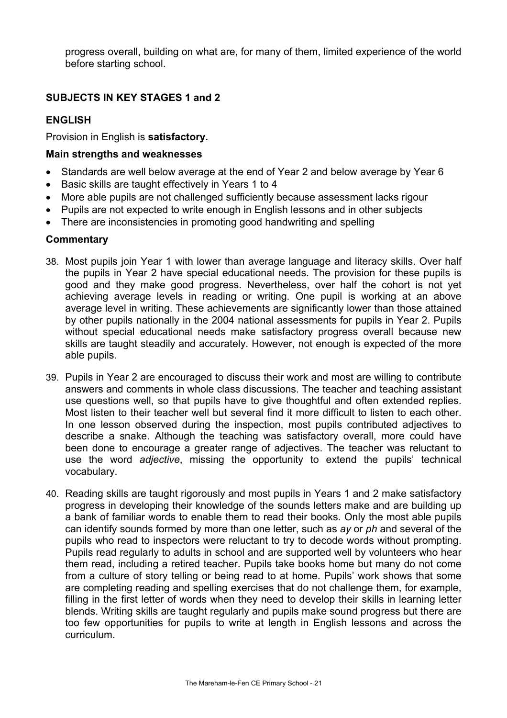progress overall, building on what are, for many of them, limited experience of the world before starting school.

## **SUBJECTS IN KEY STAGES 1 and 2**

## **ENGLISH**

Provision in English is **satisfactory.** 

### **Main strengths and weaknesses**

- Standards are well below average at the end of Year 2 and below average by Year 6
- Basic skills are taught effectively in Years 1 to 4
- More able pupils are not challenged sufficiently because assessment lacks rigour
- Pupils are not expected to write enough in English lessons and in other subjects
- There are inconsistencies in promoting good handwriting and spelling

#### **Commentary**

- 38. Most pupils join Year 1 with lower than average language and literacy skills. Over half the pupils in Year 2 have special educational needs. The provision for these pupils is good and they make good progress. Nevertheless, over half the cohort is not yet achieving average levels in reading or writing. One pupil is working at an above average level in writing. These achievements are significantly lower than those attained by other pupils nationally in the 2004 national assessments for pupils in Year 2. Pupils without special educational needs make satisfactory progress overall because new skills are taught steadily and accurately. However, not enough is expected of the more able pupils.
- 39. Pupils in Year 2 are encouraged to discuss their work and most are willing to contribute answers and comments in whole class discussions. The teacher and teaching assistant use questions well, so that pupils have to give thoughtful and often extended replies. Most listen to their teacher well but several find it more difficult to listen to each other. In one lesson observed during the inspection, most pupils contributed adjectives to describe a snake. Although the teaching was satisfactory overall, more could have been done to encourage a greater range of adjectives. The teacher was reluctant to use the word *adjective*, missing the opportunity to extend the pupils' technical vocabulary.
- 40. Reading skills are taught rigorously and most pupils in Years 1 and 2 make satisfactory progress in developing their knowledge of the sounds letters make and are building up a bank of familiar words to enable them to read their books. Only the most able pupils can identify sounds formed by more than one letter, such as *ay* or *ph* and several of the pupils who read to inspectors were reluctant to try to decode words without prompting. Pupils read regularly to adults in school and are supported well by volunteers who hear them read, including a retired teacher. Pupils take books home but many do not come from a culture of story telling or being read to at home. Pupils' work shows that some are completing reading and spelling exercises that do not challenge them, for example, filling in the first letter of words when they need to develop their skills in learning letter blends. Writing skills are taught regularly and pupils make sound progress but there are too few opportunities for pupils to write at length in English lessons and across the curriculum.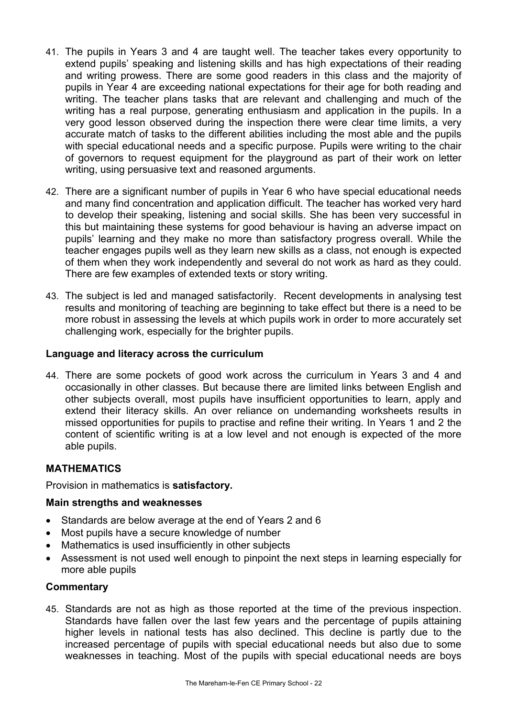- 41. The pupils in Years 3 and 4 are taught well. The teacher takes every opportunity to extend pupils' speaking and listening skills and has high expectations of their reading and writing prowess. There are some good readers in this class and the majority of pupils in Year 4 are exceeding national expectations for their age for both reading and writing. The teacher plans tasks that are relevant and challenging and much of the writing has a real purpose, generating enthusiasm and application in the pupils. In a very good lesson observed during the inspection there were clear time limits, a very accurate match of tasks to the different abilities including the most able and the pupils with special educational needs and a specific purpose. Pupils were writing to the chair of governors to request equipment for the playground as part of their work on letter writing, using persuasive text and reasoned arguments.
- 42. There are a significant number of pupils in Year 6 who have special educational needs and many find concentration and application difficult. The teacher has worked very hard to develop their speaking, listening and social skills. She has been very successful in this but maintaining these systems for good behaviour is having an adverse impact on pupils' learning and they make no more than satisfactory progress overall. While the teacher engages pupils well as they learn new skills as a class, not enough is expected of them when they work independently and several do not work as hard as they could. There are few examples of extended texts or story writing.
- 43. The subject is led and managed satisfactorily. Recent developments in analysing test results and monitoring of teaching are beginning to take effect but there is a need to be more robust in assessing the levels at which pupils work in order to more accurately set challenging work, especially for the brighter pupils.

### **Language and literacy across the curriculum**

44. There are some pockets of good work across the curriculum in Years 3 and 4 and occasionally in other classes. But because there are limited links between English and other subjects overall, most pupils have insufficient opportunities to learn, apply and extend their literacy skills. An over reliance on undemanding worksheets results in missed opportunities for pupils to practise and refine their writing. In Years 1 and 2 the content of scientific writing is at a low level and not enough is expected of the more able pupils.

## **MATHEMATICS**

Provision in mathematics is **satisfactory.** 

## **Main strengths and weaknesses**

- Standards are below average at the end of Years 2 and 6
- Most pupils have a secure knowledge of number
- Mathematics is used insufficiently in other subjects
- Assessment is not used well enough to pinpoint the next steps in learning especially for more able pupils

#### **Commentary**

45. Standards are not as high as those reported at the time of the previous inspection. Standards have fallen over the last few years and the percentage of pupils attaining higher levels in national tests has also declined. This decline is partly due to the increased percentage of pupils with special educational needs but also due to some weaknesses in teaching. Most of the pupils with special educational needs are boys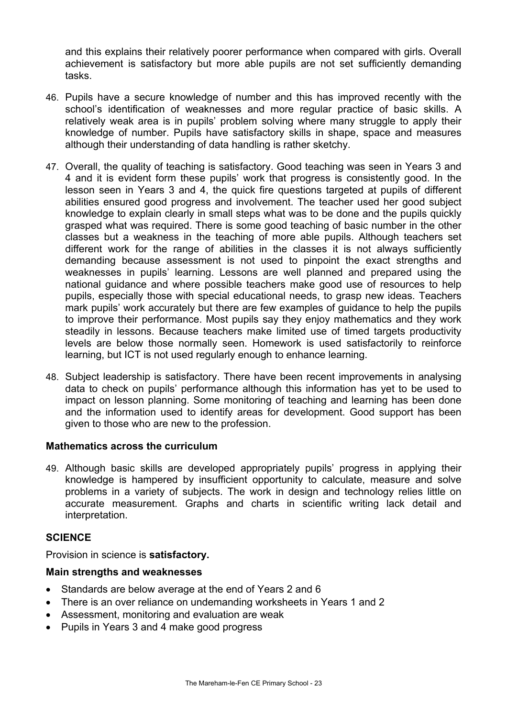and this explains their relatively poorer performance when compared with girls. Overall achievement is satisfactory but more able pupils are not set sufficiently demanding tasks.

- 46. Pupils have a secure knowledge of number and this has improved recently with the school's identification of weaknesses and more regular practice of basic skills. A relatively weak area is in pupils' problem solving where many struggle to apply their knowledge of number. Pupils have satisfactory skills in shape, space and measures although their understanding of data handling is rather sketchy.
- 47. Overall, the quality of teaching is satisfactory. Good teaching was seen in Years 3 and 4 and it is evident form these pupils' work that progress is consistently good. In the lesson seen in Years 3 and 4, the quick fire questions targeted at pupils of different abilities ensured good progress and involvement. The teacher used her good subject knowledge to explain clearly in small steps what was to be done and the pupils quickly grasped what was required. There is some good teaching of basic number in the other classes but a weakness in the teaching of more able pupils. Although teachers set different work for the range of abilities in the classes it is not always sufficiently demanding because assessment is not used to pinpoint the exact strengths and weaknesses in pupils' learning. Lessons are well planned and prepared using the national guidance and where possible teachers make good use of resources to help pupils, especially those with special educational needs, to grasp new ideas. Teachers mark pupils' work accurately but there are few examples of guidance to help the pupils to improve their performance. Most pupils say they enjoy mathematics and they work steadily in lessons. Because teachers make limited use of timed targets productivity levels are below those normally seen. Homework is used satisfactorily to reinforce learning, but ICT is not used regularly enough to enhance learning.
- 48. Subject leadership is satisfactory. There have been recent improvements in analysing data to check on pupils' performance although this information has yet to be used to impact on lesson planning. Some monitoring of teaching and learning has been done and the information used to identify areas for development. Good support has been given to those who are new to the profession.

## **Mathematics across the curriculum**

49. Although basic skills are developed appropriately pupils' progress in applying their knowledge is hampered by insufficient opportunity to calculate, measure and solve problems in a variety of subjects. The work in design and technology relies little on accurate measurement. Graphs and charts in scientific writing lack detail and interpretation.

## **SCIENCE**

Provision in science is **satisfactory.** 

#### **Main strengths and weaknesses**

- Standards are below average at the end of Years 2 and 6
- There is an over reliance on undemanding worksheets in Years 1 and 2
- Assessment, monitoring and evaluation are weak
- Pupils in Years 3 and 4 make good progress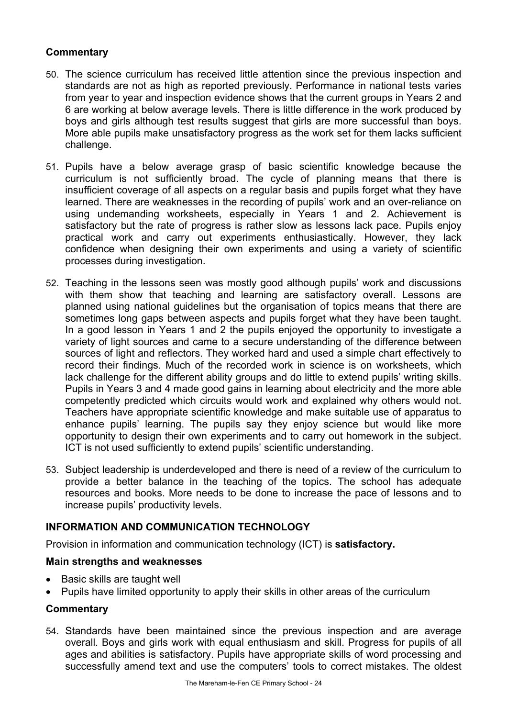- 50. The science curriculum has received little attention since the previous inspection and standards are not as high as reported previously. Performance in national tests varies from year to year and inspection evidence shows that the current groups in Years 2 and 6 are working at below average levels. There is little difference in the work produced by boys and girls although test results suggest that girls are more successful than boys. More able pupils make unsatisfactory progress as the work set for them lacks sufficient challenge.
- 51. Pupils have a below average grasp of basic scientific knowledge because the curriculum is not sufficiently broad. The cycle of planning means that there is insufficient coverage of all aspects on a regular basis and pupils forget what they have learned. There are weaknesses in the recording of pupils' work and an over-reliance on using undemanding worksheets, especially in Years 1 and 2. Achievement is satisfactory but the rate of progress is rather slow as lessons lack pace. Pupils enjoy practical work and carry out experiments enthusiastically. However, they lack confidence when designing their own experiments and using a variety of scientific processes during investigation.
- 52. Teaching in the lessons seen was mostly good although pupils' work and discussions with them show that teaching and learning are satisfactory overall. Lessons are planned using national guidelines but the organisation of topics means that there are sometimes long gaps between aspects and pupils forget what they have been taught. In a good lesson in Years 1 and 2 the pupils enjoyed the opportunity to investigate a variety of light sources and came to a secure understanding of the difference between sources of light and reflectors. They worked hard and used a simple chart effectively to record their findings. Much of the recorded work in science is on worksheets, which lack challenge for the different ability groups and do little to extend pupils' writing skills. Pupils in Years 3 and 4 made good gains in learning about electricity and the more able competently predicted which circuits would work and explained why others would not. Teachers have appropriate scientific knowledge and make suitable use of apparatus to enhance pupils' learning. The pupils say they enjoy science but would like more opportunity to design their own experiments and to carry out homework in the subject. ICT is not used sufficiently to extend pupils' scientific understanding.
- 53. Subject leadership is underdeveloped and there is need of a review of the curriculum to provide a better balance in the teaching of the topics. The school has adequate resources and books. More needs to be done to increase the pace of lessons and to increase pupils' productivity levels.

## **INFORMATION AND COMMUNICATION TECHNOLOGY**

Provision in information and communication technology (ICT) is **satisfactory.** 

## **Main strengths and weaknesses**

- Basic skills are taught well
- Pupils have limited opportunity to apply their skills in other areas of the curriculum

## **Commentary**

54. Standards have been maintained since the previous inspection and are average overall. Boys and girls work with equal enthusiasm and skill. Progress for pupils of all ages and abilities is satisfactory. Pupils have appropriate skills of word processing and successfully amend text and use the computers' tools to correct mistakes. The oldest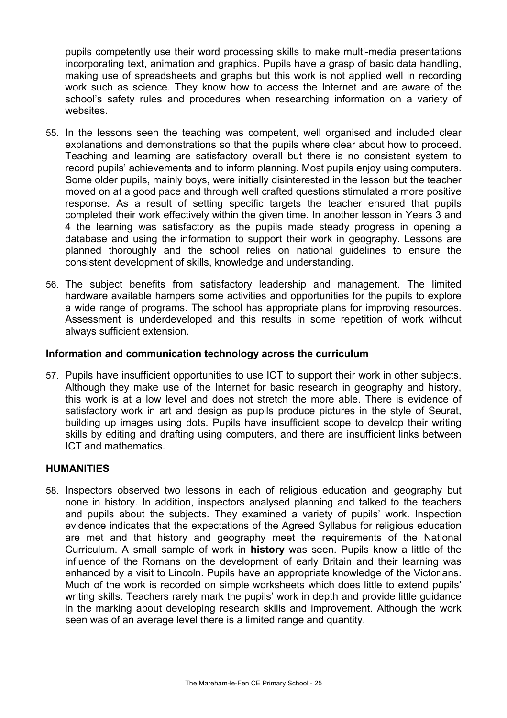pupils competently use their word processing skills to make multi-media presentations incorporating text, animation and graphics. Pupils have a grasp of basic data handling, making use of spreadsheets and graphs but this work is not applied well in recording work such as science. They know how to access the Internet and are aware of the school's safety rules and procedures when researching information on a variety of websites.

- 55. In the lessons seen the teaching was competent, well organised and included clear explanations and demonstrations so that the pupils where clear about how to proceed. Teaching and learning are satisfactory overall but there is no consistent system to record pupils' achievements and to inform planning. Most pupils enjoy using computers. Some older pupils, mainly boys, were initially disinterested in the lesson but the teacher moved on at a good pace and through well crafted questions stimulated a more positive response. As a result of setting specific targets the teacher ensured that pupils completed their work effectively within the given time. In another lesson in Years 3 and 4 the learning was satisfactory as the pupils made steady progress in opening a database and using the information to support their work in geography. Lessons are planned thoroughly and the school relies on national guidelines to ensure the consistent development of skills, knowledge and understanding.
- 56. The subject benefits from satisfactory leadership and management. The limited hardware available hampers some activities and opportunities for the pupils to explore a wide range of programs. The school has appropriate plans for improving resources. Assessment is underdeveloped and this results in some repetition of work without always sufficient extension.

### **Information and communication technology across the curriculum**

57. Pupils have insufficient opportunities to use ICT to support their work in other subjects. Although they make use of the Internet for basic research in geography and history, this work is at a low level and does not stretch the more able. There is evidence of satisfactory work in art and design as pupils produce pictures in the style of Seurat, building up images using dots. Pupils have insufficient scope to develop their writing skills by editing and drafting using computers, and there are insufficient links between ICT and mathematics.

#### **HUMANITIES**

58. Inspectors observed two lessons in each of religious education and geography but none in history. In addition, inspectors analysed planning and talked to the teachers and pupils about the subjects. They examined a variety of pupils' work. Inspection evidence indicates that the expectations of the Agreed Syllabus for religious education are met and that history and geography meet the requirements of the National Curriculum. A small sample of work in **history** was seen. Pupils know a little of the influence of the Romans on the development of early Britain and their learning was enhanced by a visit to Lincoln. Pupils have an appropriate knowledge of the Victorians. Much of the work is recorded on simple worksheets which does little to extend pupils' writing skills. Teachers rarely mark the pupils' work in depth and provide little guidance in the marking about developing research skills and improvement. Although the work seen was of an average level there is a limited range and quantity.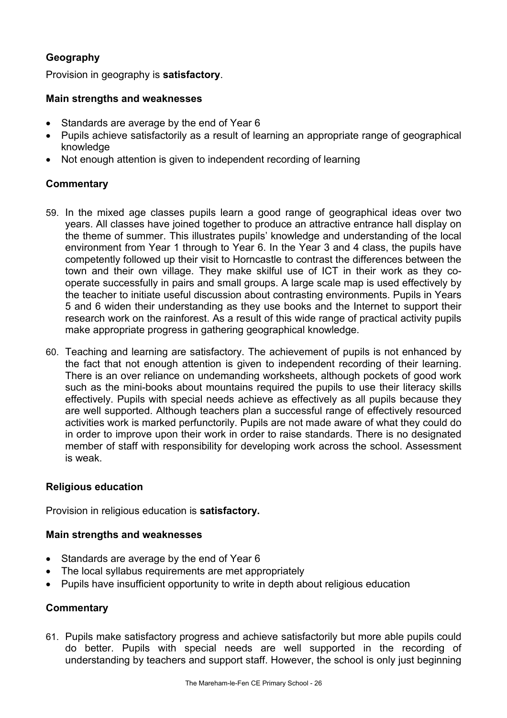# **Geography**

Provision in geography is **satisfactory**.

## **Main strengths and weaknesses**

- Standards are average by the end of Year 6
- Pupils achieve satisfactorily as a result of learning an appropriate range of geographical knowledge
- Not enough attention is given to independent recording of learning

## **Commentary**

- 59. In the mixed age classes pupils learn a good range of geographical ideas over two years. All classes have joined together to produce an attractive entrance hall display on the theme of summer. This illustrates pupils' knowledge and understanding of the local environment from Year 1 through to Year 6. In the Year 3 and 4 class, the pupils have competently followed up their visit to Horncastle to contrast the differences between the town and their own village. They make skilful use of ICT in their work as they cooperate successfully in pairs and small groups. A large scale map is used effectively by the teacher to initiate useful discussion about contrasting environments. Pupils in Years 5 and 6 widen their understanding as they use books and the Internet to support their research work on the rainforest. As a result of this wide range of practical activity pupils make appropriate progress in gathering geographical knowledge.
- 60. Teaching and learning are satisfactory. The achievement of pupils is not enhanced by the fact that not enough attention is given to independent recording of their learning. There is an over reliance on undemanding worksheets, although pockets of good work such as the mini-books about mountains required the pupils to use their literacy skills effectively. Pupils with special needs achieve as effectively as all pupils because they are well supported. Although teachers plan a successful range of effectively resourced activities work is marked perfunctorily. Pupils are not made aware of what they could do in order to improve upon their work in order to raise standards. There is no designated member of staff with responsibility for developing work across the school. Assessment is weak.

## **Religious education**

Provision in religious education is **satisfactory.**

## **Main strengths and weaknesses**

- Standards are average by the end of Year 6
- The local syllabus requirements are met appropriately
- Pupils have insufficient opportunity to write in depth about religious education

## **Commentary**

61. Pupils make satisfactory progress and achieve satisfactorily but more able pupils could do better. Pupils with special needs are well supported in the recording of understanding by teachers and support staff. However, the school is only just beginning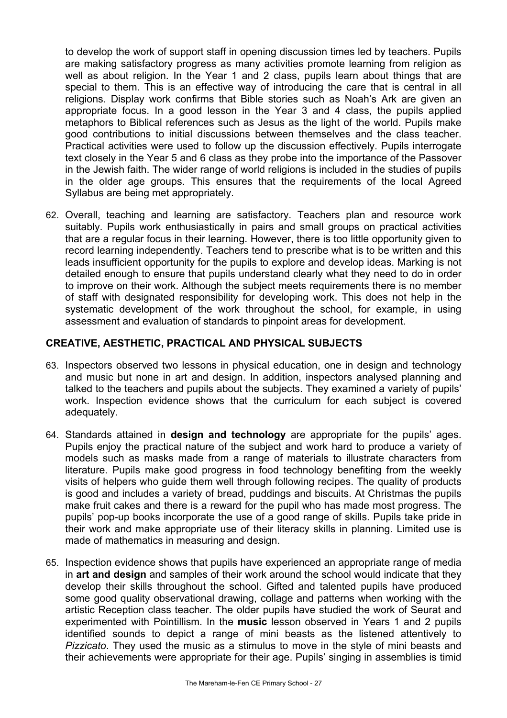to develop the work of support staff in opening discussion times led by teachers. Pupils are making satisfactory progress as many activities promote learning from religion as well as about religion. In the Year 1 and 2 class, pupils learn about things that are special to them. This is an effective way of introducing the care that is central in all religions. Display work confirms that Bible stories such as Noah's Ark are given an appropriate focus. In a good lesson in the Year 3 and 4 class, the pupils applied metaphors to Biblical references such as Jesus as the light of the world. Pupils make good contributions to initial discussions between themselves and the class teacher. Practical activities were used to follow up the discussion effectively. Pupils interrogate text closely in the Year 5 and 6 class as they probe into the importance of the Passover in the Jewish faith. The wider range of world religions is included in the studies of pupils in the older age groups. This ensures that the requirements of the local Agreed Syllabus are being met appropriately.

62. Overall, teaching and learning are satisfactory. Teachers plan and resource work suitably. Pupils work enthusiastically in pairs and small groups on practical activities that are a regular focus in their learning. However, there is too little opportunity given to record learning independently. Teachers tend to prescribe what is to be written and this leads insufficient opportunity for the pupils to explore and develop ideas. Marking is not detailed enough to ensure that pupils understand clearly what they need to do in order to improve on their work. Although the subject meets requirements there is no member of staff with designated responsibility for developing work. This does not help in the systematic development of the work throughout the school, for example, in using assessment and evaluation of standards to pinpoint areas for development.

## **CREATIVE, AESTHETIC, PRACTICAL AND PHYSICAL SUBJECTS**

- 63. Inspectors observed two lessons in physical education, one in design and technology and music but none in art and design. In addition, inspectors analysed planning and talked to the teachers and pupils about the subjects. They examined a variety of pupils' work. Inspection evidence shows that the curriculum for each subject is covered adequately.
- 64. Standards attained in **design and technology** are appropriate for the pupils' ages. Pupils enjoy the practical nature of the subject and work hard to produce a variety of models such as masks made from a range of materials to illustrate characters from literature. Pupils make good progress in food technology benefiting from the weekly visits of helpers who guide them well through following recipes. The quality of products is good and includes a variety of bread, puddings and biscuits. At Christmas the pupils make fruit cakes and there is a reward for the pupil who has made most progress. The pupils' pop-up books incorporate the use of a good range of skills. Pupils take pride in their work and make appropriate use of their literacy skills in planning. Limited use is made of mathematics in measuring and design.
- 65. Inspection evidence shows that pupils have experienced an appropriate range of media in **art and design** and samples of their work around the school would indicate that they develop their skills throughout the school. Gifted and talented pupils have produced some good quality observational drawing, collage and patterns when working with the artistic Reception class teacher. The older pupils have studied the work of Seurat and experimented with Pointillism. In the **music** lesson observed in Years 1 and 2 pupils identified sounds to depict a range of mini beasts as the listened attentively to *Pizzicato*. They used the music as a stimulus to move in the style of mini beasts and their achievements were appropriate for their age. Pupils' singing in assemblies is timid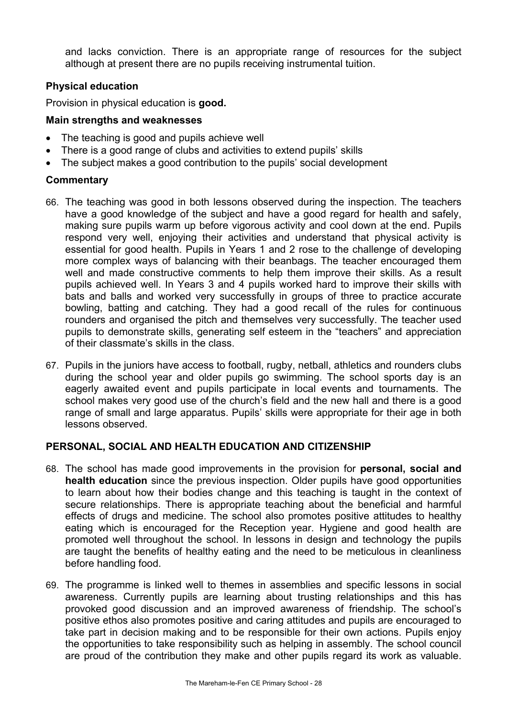and lacks conviction. There is an appropriate range of resources for the subject although at present there are no pupils receiving instrumental tuition.

## **Physical education**

Provision in physical education is **good.**

## **Main strengths and weaknesses**

- The teaching is good and pupils achieve well
- There is a good range of clubs and activities to extend pupils' skills
- The subject makes a good contribution to the pupils' social development

### **Commentary**

- 66. The teaching was good in both lessons observed during the inspection. The teachers have a good knowledge of the subject and have a good regard for health and safely, making sure pupils warm up before vigorous activity and cool down at the end. Pupils respond very well, enjoying their activities and understand that physical activity is essential for good health. Pupils in Years 1 and 2 rose to the challenge of developing more complex ways of balancing with their beanbags. The teacher encouraged them well and made constructive comments to help them improve their skills. As a result pupils achieved well. In Years 3 and 4 pupils worked hard to improve their skills with bats and balls and worked very successfully in groups of three to practice accurate bowling, batting and catching. They had a good recall of the rules for continuous rounders and organised the pitch and themselves very successfully. The teacher used pupils to demonstrate skills, generating self esteem in the "teachers" and appreciation of their classmate's skills in the class.
- 67. Pupils in the juniors have access to football, rugby, netball, athletics and rounders clubs during the school year and older pupils go swimming. The school sports day is an eagerly awaited event and pupils participate in local events and tournaments. The school makes very good use of the church's field and the new hall and there is a good range of small and large apparatus. Pupils' skills were appropriate for their age in both lessons observed.

## **PERSONAL, SOCIAL AND HEALTH EDUCATION AND CITIZENSHIP**

- 68. The school has made good improvements in the provision for **personal, social and health education** since the previous inspection. Older pupils have good opportunities to learn about how their bodies change and this teaching is taught in the context of secure relationships. There is appropriate teaching about the beneficial and harmful effects of drugs and medicine. The school also promotes positive attitudes to healthy eating which is encouraged for the Reception year. Hygiene and good health are promoted well throughout the school. In lessons in design and technology the pupils are taught the benefits of healthy eating and the need to be meticulous in cleanliness before handling food.
- 69. The programme is linked well to themes in assemblies and specific lessons in social awareness. Currently pupils are learning about trusting relationships and this has provoked good discussion and an improved awareness of friendship. The school's positive ethos also promotes positive and caring attitudes and pupils are encouraged to take part in decision making and to be responsible for their own actions. Pupils enjoy the opportunities to take responsibility such as helping in assembly. The school council are proud of the contribution they make and other pupils regard its work as valuable.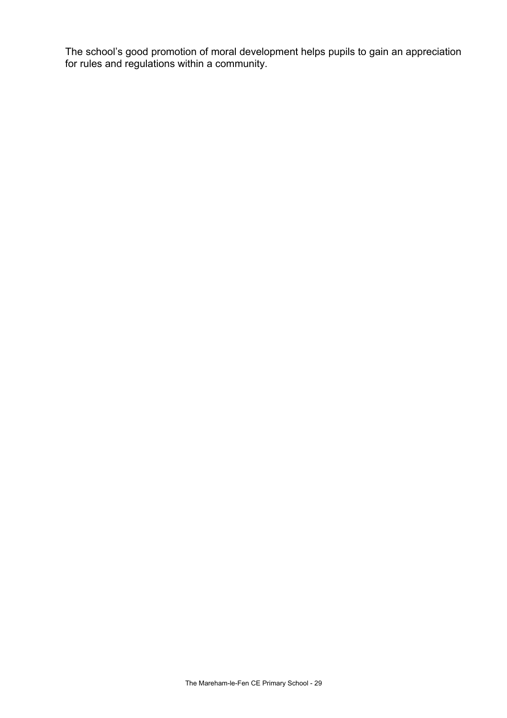The school's good promotion of moral development helps pupils to gain an appreciation for rules and regulations within a community.